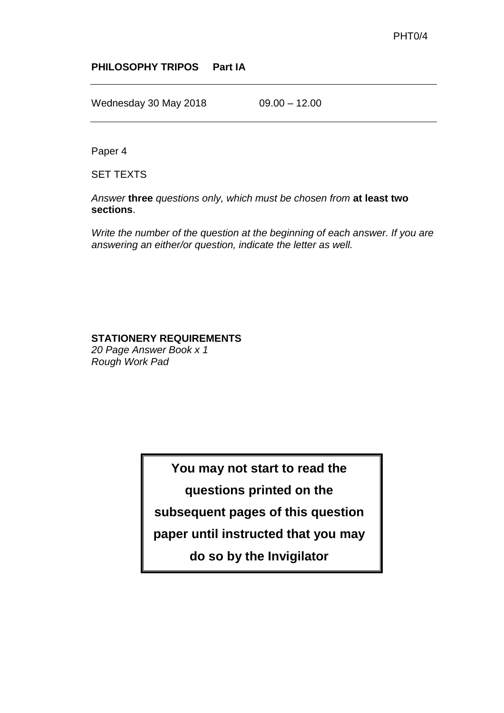### **PHILOSOPHY TRIPOS Part IA**

Wednesday 30 May 2018 09.00 - 12.00

Paper 4

SET TEXTS

*Answer* **three** *questions only, which must be chosen from* **at least two sections**.

*Write the number of the question at the beginning of each answer. If you are answering an either/or question, indicate the letter as well.*

#### **STATIONERY REQUIREMENTS**

*20 Page Answer Book x 1 Rough Work Pad*

**You may not start to read the** 

**questions printed on the** 

**subsequent pages of this question** 

**paper until instructed that you may** 

**do so by the Invigilator**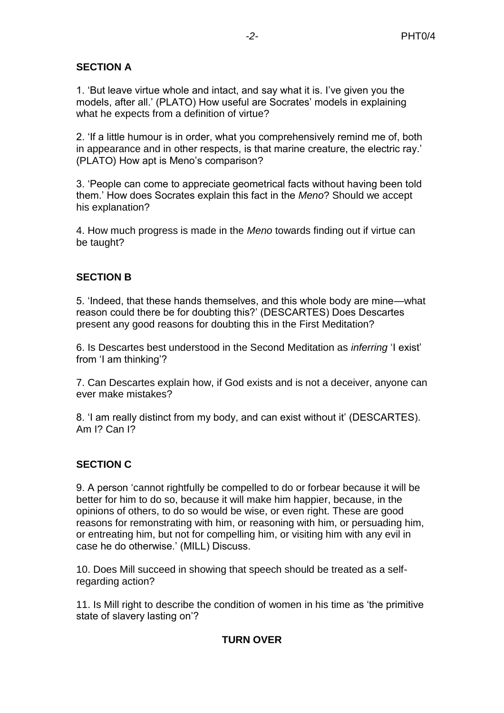# **SECTION A**

1. 'But leave virtue whole and intact, and say what it is. I've given you the models, after all.' (PLATO) How useful are Socrates' models in explaining what he expects from a definition of virtue?

2. 'If a little humour is in order, what you comprehensively remind me of, both in appearance and in other respects, is that marine creature, the electric ray.' (PLATO) How apt is Meno's comparison?

3. 'People can come to appreciate geometrical facts without having been told them.' How does Socrates explain this fact in the *Meno*? Should we accept his explanation?

4. How much progress is made in the *Meno* towards finding out if virtue can be taught?

### **SECTION B**

5. 'Indeed, that these hands themselves, and this whole body are mine—what reason could there be for doubting this?' (DESCARTES) Does Descartes present any good reasons for doubting this in the First Meditation?

6. Is Descartes best understood in the Second Meditation as *inferring* 'I exist' from 'I am thinking'?

7. Can Descartes explain how, if God exists and is not a deceiver, anyone can ever make mistakes?

8. 'I am really distinct from my body, and can exist without it' (DESCARTES). Am I? Can I?

## **SECTION C**

9. A person 'cannot rightfully be compelled to do or forbear because it will be better for him to do so, because it will make him happier, because, in the opinions of others, to do so would be wise, or even right. These are good reasons for remonstrating with him, or reasoning with him, or persuading him, or entreating him, but not for compelling him, or visiting him with any evil in case he do otherwise.' (MILL) Discuss.

10. Does Mill succeed in showing that speech should be treated as a selfregarding action?

11. Is Mill right to describe the condition of women in his time as 'the primitive state of slavery lasting on'?

## **TURN OVER**